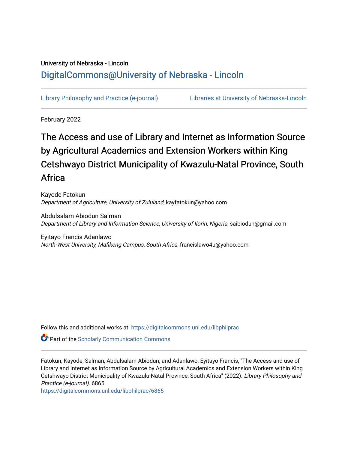# University of Nebraska - Lincoln [DigitalCommons@University of Nebraska - Lincoln](https://digitalcommons.unl.edu/)

[Library Philosophy and Practice \(e-journal\)](https://digitalcommons.unl.edu/libphilprac) [Libraries at University of Nebraska-Lincoln](https://digitalcommons.unl.edu/libraries) 

February 2022

# The Access and use of Library and Internet as Information Source by Agricultural Academics and Extension Workers within King Cetshwayo District Municipality of Kwazulu-Natal Province, South Africa

Kayode Fatokun Department of Agriculture, University of Zululand, kayfatokun@yahoo.com

Abdulsalam Abiodun Salman Department of Library and Information Science, University of Ilorin, Nigeria, saibiodun@gmail.com

Eyitayo Francis Adanlawo North-West University, Mafikeng Campus, South Africa, francislawo4u@yahoo.com

Follow this and additional works at: [https://digitalcommons.unl.edu/libphilprac](https://digitalcommons.unl.edu/libphilprac?utm_source=digitalcommons.unl.edu%2Flibphilprac%2F6865&utm_medium=PDF&utm_campaign=PDFCoverPages) 

**Part of the Scholarly Communication Commons** 

Fatokun, Kayode; Salman, Abdulsalam Abiodun; and Adanlawo, Eyitayo Francis, "The Access and use of Library and Internet as Information Source by Agricultural Academics and Extension Workers within King Cetshwayo District Municipality of Kwazulu-Natal Province, South Africa" (2022). Library Philosophy and Practice (e-journal). 6865.

[https://digitalcommons.unl.edu/libphilprac/6865](https://digitalcommons.unl.edu/libphilprac/6865?utm_source=digitalcommons.unl.edu%2Flibphilprac%2F6865&utm_medium=PDF&utm_campaign=PDFCoverPages)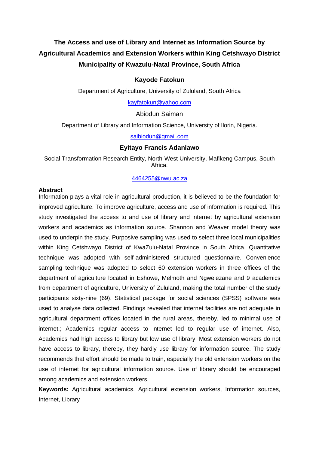# **The Access and use of Library and Internet as Information Source by Agricultural Academics and Extension Workers within King Cetshwayo District Municipality of Kwazulu-Natal Province, South Africa**

### **Kayode Fatokun**

Department of Agriculture, University of Zululand, South Africa

[kayfatokun@yahoo.com](mailto:kayfatokun@yahoo.com)

Abiodun Saiman

Department of Library and Information Science, University of Ilorin, Nigeria.

[saibiodun@gmail.com](mailto:saibiodun@gmail.com)

#### **Eyitayo Francis Adanlawo**

Social Transformation Research Entity, North-West University, Mafikeng Campus, South Africa.

#### [4464255@nwu.ac.za](mailto:4464255@nwu.ac.za)

#### **Abstract**

Information plays a vital role in agricultural production, it is believed to be the foundation for improved agriculture. To improve agriculture, access and use of information is required. This study investigated the access to and use of library and internet by agricultural extension workers and academics as information source. Shannon and Weaver model theory was used to underpin the study. Purposive sampling was used to select three local municipalities within King Cetshwayo District of KwaZulu-Natal Province in South Africa. Quantitative technique was adopted with self-administered structured questionnaire. Convenience sampling technique was adopted to select 60 extension workers in three offices of the department of agriculture located in Eshowe, Melmoth and Ngwelezane and 9 academics from department of agriculture, University of Zululand, making the total number of the study participants sixty-nine (69). Statistical package for social sciences (SPSS) software was used to analyse data collected. Findings revealed that internet facilities are not adequate in agricultural department offices located in the rural areas, thereby, led to minimal use of internet.; Academics regular access to internet led to regular use of internet. Also, Academics had high access to library but low use of library. Most extension workers do not have access to library, thereby, they hardly use library for information source. The study recommends that effort should be made to train, especially the old extension workers on the use of internet for agricultural information source. Use of library should be encouraged among academics and extension workers.

**Keywords:** Agricultural academics. Agricultural extension workers, Information sources, Internet, Library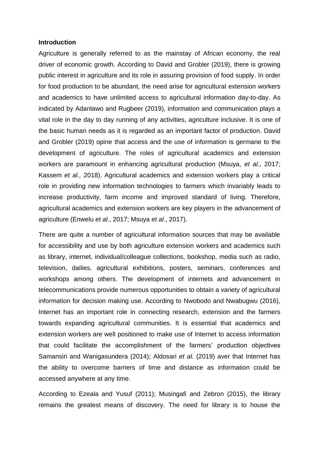#### **Introduction**

Agriculture is generally referred to as the mainstay of African economy, the real driver of economic growth. According to David and Grobler (2019), there is growing public interest in agriculture and its role in assuring provision of food supply. In order for food production to be abundant, the need arise for agricultural extension workers and academics to have unlimited access to agricultural information day-to-day. As indicated by Adanlawo and Rugbeer (2019), information and communication plays a vital role in the day to day running of any activities, agriculture inclusive. It is one of the basic human needs as it is regarded as an important factor of production. David and Grobler (2019) opine that access and the use of information is germane to the development of agriculture. The roles of agricultural academics and extension workers are paramount in enhancing agricultural production (Msuya, *et al.,* 2017; Kassem *et al.,* 2018). Agricultural academics and extension workers play a critical role in providing new information technologies to farmers which invariably leads to increase productivity, farm income and improved standard of living. Therefore, agricultural academics and extension workers are key players in the advancement of agriculture (Enwelu *et al*., 2017; Msuya *et al*., 2017).

There are quite a number of agricultural information sources that may be available for accessibility and use by both agriculture extension workers and academics such as library, internet, individual/colleague collections, bookshop, media such as radio, television, dailies, agricultural exhibitions, posters, seminars, conferences and workshops among others. The development of internets and advancement in telecommunications provide numerous opportunities to obtain a variety of agricultural information for decision making use. According to Nwobodo and Nwabugwu (2016), Internet has an important role in connecting research, extension and the farmers towards expanding agricultural communities. It is essential that academics and extension workers are well positioned to make use of Internet to access information that could facilitate the accomplishment of the farmers' production objectives Samansiri and Wanigasundera (2014); Aldosari *et al.* (2019) aver that Internet has the ability to overcome barriers of time and distance as information could be accessed anywhere at any time.

According to Ezeala and Yusuf (2011); Musingafi and Zebron (2015), the library remains the greatest means of discovery. The need for library is to house the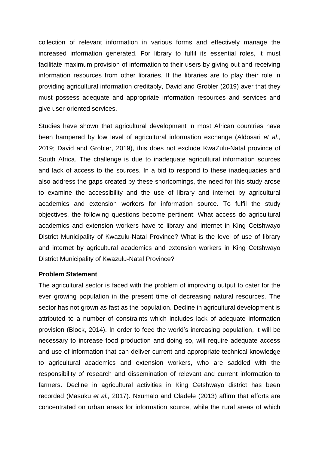collection of relevant information in various forms and effectively manage the increased information generated. For library to fulfil its essential roles, it must facilitate maximum provision of information to their users by giving out and receiving information resources from other libraries. If the libraries are to play their role in providing agricultural information creditably, David and Grobler (2019) aver that they must possess adequate and appropriate information resources and services and give user-oriented services.

Studies have shown that agricultural development in most African countries have been hampered by low level of agricultural information exchange (Aldosari *et al*., 2019; David and Grobler, 2019), this does not exclude KwaZulu-Natal province of South Africa. The challenge is due to inadequate agricultural information sources and lack of access to the sources. In a bid to respond to these inadequacies and also address the gaps created by these shortcomings, the need for this study arose to examine the accessibility and the use of library and internet by agricultural academics and extension workers for information source. To fulfil the study objectives, the following questions become pertinent: What access do agricultural academics and extension workers have to library and internet in King Cetshwayo District Municipality of Kwazulu-Natal Province? What is the level of use of library and internet by agricultural academics and extension workers in King Cetshwayo District Municipality of Kwazulu-Natal Province?

#### **Problem Statement**

The agricultural sector is faced with the problem of improving output to cater for the ever growing population in the present time of decreasing natural resources. The sector has not grown as fast as the population. Decline in agricultural development is attributed to a number of constraints which includes lack of adequate information provision (Block, 2014). In order to feed the world's increasing population, it will be necessary to increase food production and doing so, will require adequate access and use of information that can deliver current and appropriate technical knowledge to agricultural academics and extension workers, who are saddled with the responsibility of research and dissemination of relevant and current information to farmers. Decline in agricultural activities in King Cetshwayo district has been recorded (Masuku *et al.,* 2017). Nxumalo and Oladele (2013) affirm that efforts are concentrated on urban areas for information source, while the rural areas of which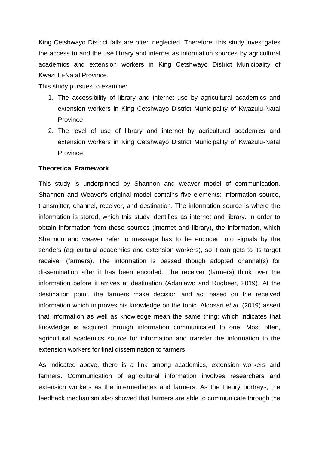King Cetshwayo District falls are often neglected. Therefore, this study investigates the access to and the use library and internet as information sources by agricultural academics and extension workers in King Cetshwayo District Municipality of Kwazulu-Natal Province.

This study pursues to examine:

- 1. The accessibility of library and internet use by agricultural academics and extension workers in King Cetshwayo District Municipality of Kwazulu-Natal Province
- 2. The level of use of library and internet by agricultural academics and extension workers in King Cetshwayo District Municipality of Kwazulu-Natal Province.

# **Theoretical Framework**

This study is underpinned by Shannon and weaver model of communication. Shannon and Weaver's original model contains five elements: information source, transmitter, channel, receiver, and destination. The information source is where the information is stored, which this study identifies as internet and library. In order to obtain information from these sources (internet and library), the information, which Shannon and weaver refer to message has to be encoded into signals by the senders (agricultural academics and extension workers), so it can gets to its target receiver (farmers). The information is passed though adopted channel(s) for dissemination after it has been encoded. The receiver (farmers) think over the information before it arrives at destination (Adanlawo and Rugbeer, 2019). At the destination point, the farmers make decision and act based on the received information which improves his knowledge on the topic. Aldosari *et al*. (2019) assert that information as well as knowledge mean the same thing: which indicates that knowledge is acquired through information communicated to one. Most often, agricultural academics source for information and transfer the information to the extension workers for final dissemination to farmers.

As indicated above, there is a link among academics, extension workers and farmers. Communication of agricultural information involves researchers and extension workers as the intermediaries and farmers. As the theory portrays, the feedback mechanism also showed that farmers are able to communicate through the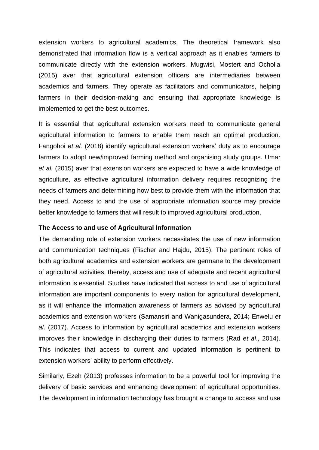extension workers to agricultural academics. The theoretical framework also demonstrated that information flow is a vertical approach as it enables farmers to communicate directly with the extension workers. Mugwisi, Mostert and Ocholla (2015) aver that agricultural extension officers are intermediaries between academics and farmers. They operate as facilitators and communicators, helping farmers in their decision-making and ensuring that appropriate knowledge is implemented to get the best outcomes.

It is essential that agricultural extension workers need to communicate general agricultural information to farmers to enable them reach an optimal production. Fangohoi *et al.* (2018) identify agricultural extension workers' duty as to encourage farmers to adopt new/improved farming method and organising study groups. Umar *et al.* (2015) aver that extension workers are expected to have a wide knowledge of agriculture, as effective agricultural information delivery requires recognizing the needs of farmers and determining how best to provide them with the information that they need. Access to and the use of appropriate information source may provide better knowledge to farmers that will result to improved agricultural production.

#### **The Access to and use of Agricultural Information**

The demanding role of extension workers necessitates the use of new information and communication techniques (Fischer and Hajdu, 2015). The pertinent roles of both agricultural academics and extension workers are germane to the development of agricultural activities, thereby, access and use of adequate and recent agricultural information is essential. Studies have indicated that access to and use of agricultural information are important components to every nation for agricultural development, as it will enhance the information awareness of farmers as advised by agricultural academics and extension workers (Samansiri and Wanigasundera, 2014; Enwelu *et al*. (2017). Access to information by agricultural academics and extension workers improves their knowledge in discharging their duties to farmers (Rad *et al*., 2014). This indicates that access to current and updated information is pertinent to extension workers' ability to perform effectively.

Similarly, Ezeh (2013) professes information to be a powerful tool for improving the delivery of basic services and enhancing development of agricultural opportunities. The development in information technology has brought a change to access and use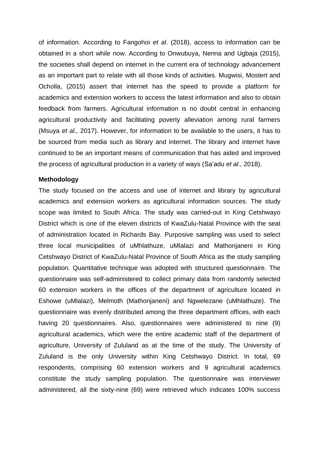of information. According to Fangohoi *et al*. (2018), access to information can be obtained in a short while now. According to Onwubuya, Nenna and Ugbaja (2015), the societies shall depend on internet in the current era of technology advancement as an important part to relate with all those kinds of activities. Mugwisi, Mostert and Ocholla, (2015) assert that internet has the speed to provide a platform for academics and extension workers to access the latest information and also to obtain feedback from farmers. Agricultural information is no doubt central in enhancing agricultural productivity and facilitating poverty alleviation among rural farmers (Msuya *et al.,* 2017). However, for information to be available to the users, it has to be sourced from media such as library and internet. The library and internet have continued to be an important means of communication that has aided and improved the process of agricultural production in a variety of ways (Sa'adu *et al.,* 2018).

## **Methodology**

The study focused on the access and use of internet and library by agricultural academics and extension workers as agricultural information sources. The study scope was limited to South Africa. The study was carried-out in King Cetshwayo District which is one of the eleven districts of KwaZulu-Natal Province with the seat of administration located in Richards Bay. Purposive sampling was used to select three local municipalities of uMhlathuze, uMlalazi and Mathonjaneni in King Cetshwayo District of KwaZulu-Natal Province of South Africa as the study sampling population. Quantitative technique was adopted with structured questionnaire. The questionnaire was self-administered to collect primary data from randomly selected 60 extension workers in the offices of the department of agriculture located in Eshowe (uMlalazi), Melmoth (Mathonjaneni) and Ngwelezane (uMhlathuze). The questionnaire was evenly distributed among the three department offices, with each having 20 questionnaires. Also, questionnaires were administered to nine (9) agricultural academics, which were the entire academic staff of the department of agriculture, University of Zululand as at the time of the study. The University of Zululand is the only University within King Cetshwayo District. In total, 69 respondents, comprising 60 extension workers and 9 agricultural academics constitute the study sampling population. The questionnaire was interviewer administered, all the sixty-nine (69) were retrieved which indicates 100% success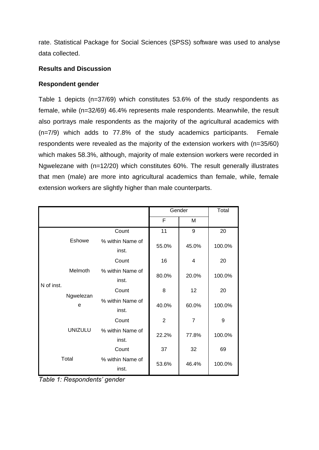rate. Statistical Package for Social Sciences (SPSS) software was used to analyse data collected.

# **Results and Discussion**

# **Respondent gender**

Table 1 depicts (n=37/69) which constitutes 53.6% of the study respondents as female, while (n=32/69) 46.4% represents male respondents. Meanwhile, the result also portrays male respondents as the majority of the agricultural academics with (n=7/9) which adds to 77.8% of the study academics participants. Female respondents were revealed as the majority of the extension workers with (n=35/60) which makes 58.3%, although, majority of male extension workers were recorded in Ngwelezane with (n=12/20) which constitutes 60%. The result generally illustrates that men (male) are more into agricultural academics than female, while, female extension workers are slightly higher than male counterparts.

|            |                |                           |                | Gender         | Total  |
|------------|----------------|---------------------------|----------------|----------------|--------|
|            |                |                           | F              | M              |        |
|            |                | Count                     | 11             | 9              | 20     |
|            | <b>Eshowe</b>  | % within Name of<br>inst. | 55.0%          | 45.0%          | 100.0% |
|            |                | Count                     | 16             | 4              | 20     |
| N of inst. | Melmoth        | % within Name of<br>inst. | 80.0%          | 20.0%          | 100.0% |
|            | Ngwelezan<br>e | Count                     | 8              | 12             | 20     |
|            |                | % within Name of<br>inst. | 40.0%          | 60.0%          | 100.0% |
|            | <b>UNIZULU</b> | Count                     | $\overline{2}$ | $\overline{7}$ | 9      |
|            |                | % within Name of<br>inst. | 22.2%          | 77.8%          | 100.0% |
|            |                | Count                     | 37             | 32             | 69     |
|            | Total          | % within Name of<br>inst. | 53.6%          | 46.4%          | 100.0% |

*Table 1: Respondents' gender*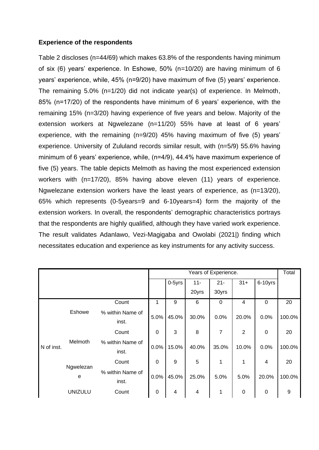# **Experience of the respondents**

Table 2 discloses (n=44/69) which makes 63.8% of the respondents having minimum of six (6) years' experience. In Eshowe, 50% (n=10/20) are having minimum of 6 years' experience, while, 45% (n=9/20) have maximum of five (5) years' experience. The remaining 5.0% (n=1/20) did not indicate year(s) of experience. In Melmoth, 85% (n=17/20) of the respondents have minimum of 6 years' experience, with the remaining 15% (n=3/20) having experience of five years and below. Majority of the extension workers at Ngwelezane (n=11/20) 55% have at least of 6 years' experience, with the remaining (n=9/20) 45% having maximum of five (5) years' experience. University of Zululand records similar result, with (n=5/9) 55.6% having minimum of 6 years' experience, while, (n=4/9), 44.4% have maximum experience of five (5) years. The table depicts Melmoth as having the most experienced extension workers with (n=17/20), 85% having above eleven (11) years of experience. Ngwelezane extension workers have the least years of experience, as (n=13/20), 65% which represents (0-5years=9 and 6-10years=4) form the majority of the extension workers. In overall, the respondents' demographic characteristics portrays that the respondents are highly qualified, although they have varied work experience. The result validates Adanlawo, Vezi-Magigaba and Owolabi (2021|) finding which necessitates education and experience as key instruments for any activity success.

|            |                |                           |                  |        |                         | Years of Experience. |           |             | Total  |
|------------|----------------|---------------------------|------------------|--------|-------------------------|----------------------|-----------|-------------|--------|
|            |                |                           |                  | 0-5yrs | $11 -$                  | $21 -$               | $31+$     | 6-10yrs     |        |
|            |                |                           |                  |        | 20yrs                   | 30yrs                |           |             |        |
|            |                | Count                     |                  | 9      | 6                       | $\mathbf 0$          | 4         | $\Omega$    | 20     |
|            | Eshowe         | % within Name of<br>inst. | 5.0%             | 45.0%  | 30.0%                   | 0.0%                 | 20.0%     | 0.0%        | 100.0% |
|            |                | Count                     | 0                | 3      | 8                       | 7                    | 2         | $\mathbf 0$ | 20     |
| N of inst. | Melmoth        | % within Name of<br>inst. | 0.0%             | 15.0%  | 40.0%                   | 35.0%                | 10.0%     | 0.0%        | 100.0% |
|            |                | Count                     | 0                | 9      | 5                       | 1                    | 1         | 4           | 20     |
|            | Ngwelezan<br>e | % within Name of<br>inst. | 0.0%             | 45.0%  | 25.0%                   | 5.0%                 | 5.0%      | 20.0%       | 100.0% |
|            | <b>UNIZULU</b> | Count                     | $\boldsymbol{0}$ | 4      | $\overline{\mathbf{4}}$ | 1                    | $\pmb{0}$ | $\mathbf 0$ | 9      |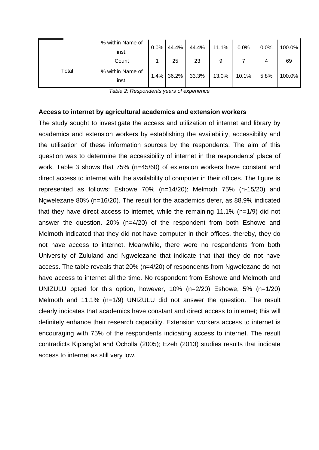|       | % within Name of<br>inst. | 0.0% | 44.4% | 44.4% | 11.1%    | 0.0%  | 0.0% | 100.0% |
|-------|---------------------------|------|-------|-------|----------|-------|------|--------|
|       | Count                     |      | 25    | 23    | 9        |       |      | 69     |
| Total | % within Name of<br>inst. | 1.4% | 36.2% | 33.3% | $13.0\%$ | 10.1% | 5.8% | 100.0% |

*Table 2: Respondents years of experience*

#### **Access to internet by agricultural academics and extension workers**

The study sought to investigate the access and utilization of internet and library by academics and extension workers by establishing the availability, accessibility and the utilisation of these information sources by the respondents. The aim of this question was to determine the accessibility of internet in the respondents' place of work. Table 3 shows that 75% (n=45/60) of extension workers have constant and direct access to internet with the availability of computer in their offices. The figure is represented as follows: Eshowe 70% (n=14/20); Melmoth 75% (n-15/20) and Ngwelezane 80% (n=16/20). The result for the academics defer, as 88.9% indicated that they have direct access to internet, while the remaining 11.1% (n=1/9) did not answer the question. 20% (n=4/20) of the respondent from both Eshowe and Melmoth indicated that they did not have computer in their offices, thereby, they do not have access to internet. Meanwhile, there were no respondents from both University of Zululand and Ngwelezane that indicate that that they do not have access. The table reveals that 20% (n=4/20) of respondents from Ngwelezane do not have access to internet all the time. No respondent from Eshowe and Melmoth and UNIZULU opted for this option, however, 10% (n=2/20) Eshowe, 5% (n=1/20) Melmoth and 11.1% (n=1/9) UNIZULU did not answer the question. The result clearly indicates that academics have constant and direct access to internet; this will definitely enhance their research capability. Extension workers access to internet is encouraging with 75% of the respondents indicating access to internet. The result contradicts Kiplang'at and Ocholla (2005); Ezeh (2013) studies results that indicate access to internet as still very low.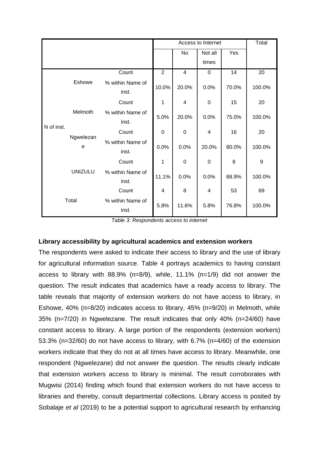|            |                |                           |       | Access to Internet |                         |       |        |  |
|------------|----------------|---------------------------|-------|--------------------|-------------------------|-------|--------|--|
|            |                |                           |       | No                 | Not all                 | Yes   |        |  |
|            |                |                           |       |                    | times                   |       |        |  |
|            |                | Count                     | 2     | $\overline{4}$     | $\mathbf 0$             | 14    | 20     |  |
|            | Eshowe         | % within Name of<br>inst. | 10.0% | 20.0%              | 0.0%                    | 70.0% | 100.0% |  |
|            | Melmoth        | Count                     | 1     | 4                  | $\mathbf 0$             | 15    | 20     |  |
|            |                | % within Name of<br>inst. | 5.0%  | 20.0%              | 0.0%                    | 75.0% | 100.0% |  |
| N of inst. | Ngwelezan<br>e | Count                     | 0     | $\mathbf 0$        | $\overline{\mathbf{4}}$ | 16    | 20     |  |
|            |                | % within Name of<br>inst. | 0.0%  | 0.0%               | 20.0%                   | 80.0% | 100.0% |  |
|            | <b>UNIZULU</b> | Count                     | 1     | $\mathbf 0$        | $\mathbf 0$             | 8     | 9      |  |
|            |                | % within Name of<br>inst. | 11.1% | 0.0%               | 0.0%                    | 88.9% | 100.0% |  |
|            |                | Count                     | 4     | 8                  | 4                       | 53    | 69     |  |
| Total      |                | % within Name of<br>inst. | 5.8%  | 11.6%              | 5.8%                    | 76.8% | 100.0% |  |

*Table 3: Respondents access to internet*

# **Library accessibility by agricultural academics and extension workers**

The respondents were asked to indicate their access to library and the use of library for agricultural information source. Table 4 portrays academics to having constant access to library with 88.9% (n=8/9), while, 11.1% (n=1/9) did not answer the question. The result indicates that academics have a ready access to library. The table reveals that majority of extension workers do not have access to library, in Eshowe, 40% (n=8/20) indicates access to library, 45% (n=9/20) in Melmoth, while 35% (n=7/20) in Ngwelezane. The result indicates that only 40% (n=24/60) have constant access to library. A large portion of the respondents (extension workers) 53.3% (n=32/60) do not have access to library, with 6.7% (n=4/60) of the extension workers indicate that they do not at all times have access to library. Meanwhile, one respondent (Ngwelezane) did not answer the question. The results clearly indicate that extension workers access to library is minimal. The result corroborates with Mugwisi (2014) finding which found that extension workers do not have access to libraries and thereby, consult departmental collections. Library access is posited by Sobalaje *et al* (2019) to be a potential support to agricultural research by enhancing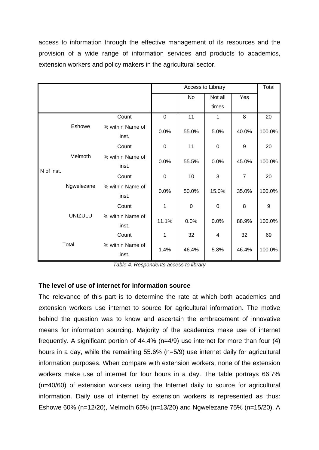access to information through the effective management of its resources and the provision of a wide range of information services and products to academics, extension workers and policy makers in the agricultural sector.

|            |                | Access to Library         |             |             |             |                | Total  |
|------------|----------------|---------------------------|-------------|-------------|-------------|----------------|--------|
|            |                |                           |             | No          | Not all     | Yes            |        |
|            |                |                           |             |             | times       |                |        |
|            |                | Count                     | $\mathbf 0$ | 11          | 1           | 8              | 20     |
|            | Eshowe         | % within Name of<br>inst. | 0.0%        | 55.0%       | 5.0%        | 40.0%          | 100.0% |
|            |                | Count                     | $\mathbf 0$ | 11          | $\mathbf 0$ | 9              | 20     |
|            | Melmoth        | % within Name of<br>inst. | 0.0%        | 55.5%       | 0.0%        | 45.0%          | 100.0% |
| N of inst. | Ngwelezane     | Count                     | $\mathbf 0$ | 10          | 3           | $\overline{7}$ | 20     |
|            |                | % within Name of<br>inst. | 0.0%        | 50.0%       | 15.0%       | 35.0%          | 100.0% |
|            |                | Count                     | 1           | $\mathbf 0$ | 0           | 8              | 9      |
|            | <b>UNIZULU</b> | % within Name of<br>inst. | 11.1%       | 0.0%        | 0.0%        | 88.9%          | 100.0% |
|            |                | Count                     | 1           | 32          | 4           | 32             | 69     |
|            | Total          | % within Name of<br>inst. | 1.4%        | 46.4%       | 5.8%        | 46.4%          | 100.0% |

*Table 4: Respondents access to library*

# **The level of use of internet for information source**

The relevance of this part is to determine the rate at which both academics and extension workers use internet to source for agricultural information. The motive behind the question was to know and ascertain the embracement of innovative means for information sourcing. Majority of the academics make use of internet frequently. A significant portion of 44.4% (n=4/9) use internet for more than four (4) hours in a day, while the remaining 55.6% (n=5/9) use internet daily for agricultural information purposes. When compare with extension workers, none of the extension workers make use of internet for four hours in a day. The table portrays 66.7% (n=40/60) of extension workers using the Internet daily to source for agricultural information. Daily use of internet by extension workers is represented as thus: Eshowe 60% (n=12/20), Melmoth 65% (n=13/20) and Ngwelezane 75% (n=15/20). A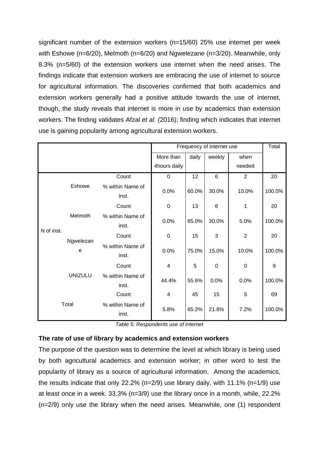significant number of the extension workers (n=15/60) 25% use internet per week with Eshowe (n=6/20), Melmoth (n=6/20) and Ngwelezane (n=3/20). Meanwhile, only 8.3% (n=5/60) of the extension workers use internet when the need arises. The findings indicate that extension workers are embracing the use of internet to source for agricultural information. The discoveries confirmed that both academics and extension workers generally had a positive attitude towards the use of internet, though, the study reveals that internet is more in use by academics than extension workers. The finding validates Afzal *et al. (*2016); finding which indicates that internet use is gaining popularity among agricultural extension workers.

|            |                |                           | Frequency of internet use | Total |             |                |        |
|------------|----------------|---------------------------|---------------------------|-------|-------------|----------------|--------|
|            |                |                           | More than                 | daily | weekly      | when           |        |
|            |                |                           | 4hours daily              |       |             | needed         |        |
|            |                | Count                     | $\mathbf 0$               | 12    | 6           | $\overline{2}$ | 20     |
|            | Eshowe         | % within Name of<br>inst. | 0.0%                      | 60.0% | 30.0%       | 10.0%          | 100.0% |
|            |                | Count                     | 0                         | 13    | 6           | 1              | 20     |
| N of inst. | Melmoth        | % within Name of<br>inst. | 0.0%                      | 65.0% | 30.0%       | 5.0%           | 100.0% |
|            | Ngwelezan<br>e | Count                     | $\mathbf 0$               | 15    | 3           | $\overline{2}$ | 20     |
|            |                | % within Name of<br>inst. | 0.0%                      | 75.0% | 15.0%       | 10.0%          | 100.0% |
|            |                | Count                     | 4                         | 5     | $\mathbf 0$ | $\mathbf 0$    | 9      |
|            | <b>UNIZULU</b> | % within Name of<br>inst. | 44.4%                     | 55.6% | 0.0%        | 0.0%           | 100.0% |
| Total      |                | Count                     | 4                         | 45    | 15          | 5              | 69     |
|            |                | % within Name of<br>inst. | 5.8%                      | 65.2% | 21.8%       | 7.2%           | 100.0% |

*Table 5: Respondents use of internet*

# **The rate of use of library by academics and extension workers**

The purpose of the question was to determine the level at which library is being used by both agricultural academics and extension worker; in other word to test the popularity of library as a source of agricultural information. Among the academics, the results indicate that only 22.2% (n=2/9) use library daily, with 11.1% (n=1/9) use at least once in a week. 33.3% (n=3/9) use the library once in a month, while, 22.2% (n=2/9) only use the library when the need arises. Meanwhile, one (1) respondent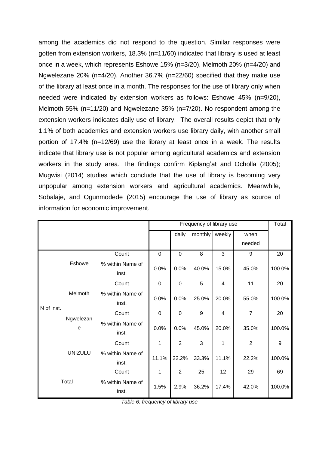among the academics did not respond to the question. Similar responses were gotten from extension workers, 18.3% (n=11/60) indicated that library is used at least once in a week, which represents Eshowe 15% (n=3/20), Melmoth 20% (n=4/20) and Ngwelezane 20% (n=4/20). Another 36.7% (n=22/60) specified that they make use of the library at least once in a month. The responses for the use of library only when needed were indicated by extension workers as follows: Eshowe 45% (n=9/20), Melmoth 55% (n=11/20) and Ngwelezane 35% (n=7/20). No respondent among the extension workers indicates daily use of library. The overall results depict that only 1.1% of both academics and extension workers use library daily, with another small portion of 17.4% (n=12/69) use the library at least once in a week. The results indicate that library use is not popular among agricultural academics and extension workers in the study area. The findings confirm Kiplang'at and Ocholla (2005); Mugwisi (2014) studies which conclude that the use of library is becoming very unpopular among extension workers and agricultural academics. Meanwhile, Sobalaje, and Ogunmodede (2015) encourage the use of library as source of information for economic improvement.

|            |                |                           |             | Frequency of library use |         |        |                |        |  |
|------------|----------------|---------------------------|-------------|--------------------------|---------|--------|----------------|--------|--|
|            |                |                           |             | daily                    | monthly | weekly | when           |        |  |
|            |                |                           |             |                          |         |        | needed         |        |  |
|            |                | Count                     | $\mathbf 0$ | $\mathbf 0$              | 8       | 3      | 9              | 20     |  |
|            | Eshowe         | % within Name of<br>inst. | 0.0%        | 0.0%                     | 40.0%   | 15.0%  | 45.0%          | 100.0% |  |
|            | Melmoth        | Count                     | 0           | 0                        | 5       | 4      | 11             | 20     |  |
|            |                | % within Name of<br>inst. | 0.0%        | 0.0%                     | 25.0%   | 20.0%  | 55.0%          | 100.0% |  |
| N of inst. | Ngwelezan<br>e | Count                     | 0           | $\mathbf 0$              | 9       | 4      | 7              | 20     |  |
|            |                | % within Name of<br>inst. | 0.0%        | 0.0%                     | 45.0%   | 20.0%  | 35.0%          | 100.0% |  |
|            |                | Count                     | 1           | $\overline{2}$           | 3       | 1      | $\overline{2}$ | 9      |  |
|            | <b>UNIZULU</b> | % within Name of<br>inst. | 11.1%       | 22.2%                    | 33.3%   | 11.1%  | 22.2%          | 100.0% |  |
|            |                | Count                     | 1           | $\overline{2}$           | 25      | 12     | 29             | 69     |  |
| Total      |                | % within Name of<br>inst. | 1.5%        | 2.9%                     | 36.2%   | 17.4%  | 42.0%          | 100.0% |  |

*Table 6: frequency of library use*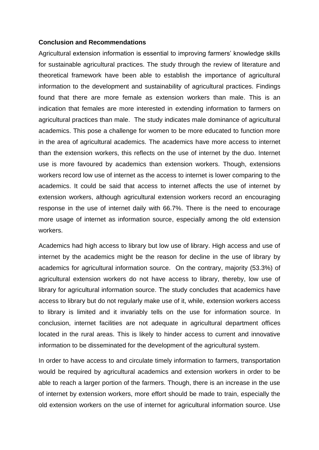#### **Conclusion and Recommendations**

Agricultural extension information is essential to improving farmers' knowledge skills for sustainable agricultural practices. The study through the review of literature and theoretical framework have been able to establish the importance of agricultural information to the development and sustainability of agricultural practices. Findings found that there are more female as extension workers than male. This is an indication that females are more interested in extending information to farmers on agricultural practices than male. The study indicates male dominance of agricultural academics. This pose a challenge for women to be more educated to function more in the area of agricultural academics. The academics have more access to internet than the extension workers, this reflects on the use of internet by the duo. Internet use is more favoured by academics than extension workers. Though, extensions workers record low use of internet as the access to internet is lower comparing to the academics. It could be said that access to internet affects the use of internet by extension workers, although agricultural extension workers record an encouraging response in the use of internet daily with 66.7%. There is the need to encourage more usage of internet as information source, especially among the old extension workers.

Academics had high access to library but low use of library. High access and use of internet by the academics might be the reason for decline in the use of library by academics for agricultural information source. On the contrary, majority (53.3%) of agricultural extension workers do not have access to library, thereby, low use of library for agricultural information source. The study concludes that academics have access to library but do not regularly make use of it, while, extension workers access to library is limited and it invariably tells on the use for information source. In conclusion, internet facilities are not adequate in agricultural department offices located in the rural areas. This is likely to hinder access to current and innovative information to be disseminated for the development of the agricultural system.

In order to have access to and circulate timely information to farmers, transportation would be required by agricultural academics and extension workers in order to be able to reach a larger portion of the farmers. Though, there is an increase in the use of internet by extension workers, more effort should be made to train, especially the old extension workers on the use of internet for agricultural information source. Use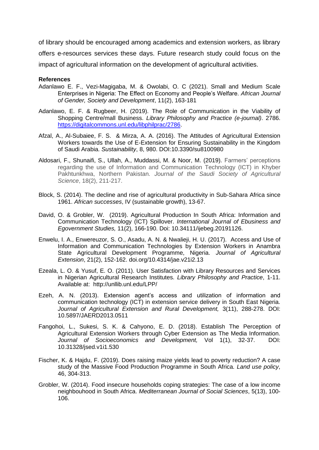of library should be encouraged among academics and extension workers, as library offers e-resources services these days. Future research study could focus on the impact of agricultural information on the development of agricultural activities.

#### **References**

- Adanlawo E. F., Vezi-Magigaba, M. & Owolabi, O. C (2021). Small and Medium Scale Enterprises in Nigeria: The Effect on Economy and People's Welfare. *African Journal of Gender, Society and Development*, 11(2), 163-181
- Adanlawo, E. F. & Rugbeer, H. (2019). The Role of Communication in the Viability of Shopping Centre/mall Business. *Library Philosophy and Practice (e-journal)*. 2786. [https://digitalcommons.unl.edu/libphilprac/2786.](https://digitalcommons.unl.edu/libphilprac/2786)
- Afzal, A., Al-Subaiee, F. S. & Mirza, A. A. (2016). The Attitudes of Agricultural Extension Workers towards the Use of E-Extension for Ensuring Sustainability in the Kingdom of Saudi Arabia. *Sustainability*, 8, 980. DOI:10.3390/su8100980
- Aldosari, F., Shunaifi, S., Ullah, A., Muddassi, M. & Noor, M. (2019). Farmers' perceptions regarding the use of Information and Communication Technology (ICT) in Khyber Pakhtunkhwa, Northern Pakistan. *Journal of the Saudi Society of Agricultural Science*, 18(2), 211-217.
- Block, S. (2014). The decline and rise of agricultural productivity in Sub-Sahara Africa since 1961. *African successes*, IV (sustainable growth), 13-67.
- David, O. & Grobler, W. (2019). Agricultural Production In South Africa: Information and Communication Technology (ICT) Spillover. *International Journal of Ebusiness and Egovernment Studies,* 11(2), 166-190. Doi: 10.34111/ijebeg.20191126.
- Enwelu, I. A., Enwereuzor, S. O., Asadu, A. N. & Nwalieji, H. U. (2017). Access and Use of Information and Communication Technologies by Extension Workers in Anambra State Agricultural Development Programme, Nigeria. *Journal of Agricultural Extension*, 21(2), 152-162. doi.org/10.4314/jae.v21i2.13
- Ezeala, L. O. & Yusuf, E. O. (2011). User Satisfaction with Library Resources and Services in Nigerian Agricultural Research Institutes. *Library Philosophy and Practice*, 1-11. Available at: http://unllib.unl.edu/LPP/
- Ezeh, A. N. (2013). Extension agent's access and utilization of information and communication technology (ICT) in extension service delivery in South East Nigeria. *Journal of Agricultural Extension and Rural Development,* 3(11), 288-278. DOI: 10.5897/JAERD2013.0511
- Fangohoi, L., Sukesi, S. K. & Cahyono, E. D. (2018). Establish The Perception of Agricultural Extension Workers through Cyber Extension as The Media Information. *Journal of Socioeconomics and Development,* Vol 1(1), 32-37. DOI: 10.31328/jsed.v1i1.530
- Fischer, K. & Hajdu, F. (2019). Does raising maize yields lead to poverty reduction? A case study of the Massive Food Production Programme in South Africa. *Land use policy*, 46, 304-313.
- Grobler, W. (2014). Food insecure households coping strategies: The case of a low income neighbouhood in South Africa. *Mediterranean Journal of Social Sciences*, 5(13), 100- 106.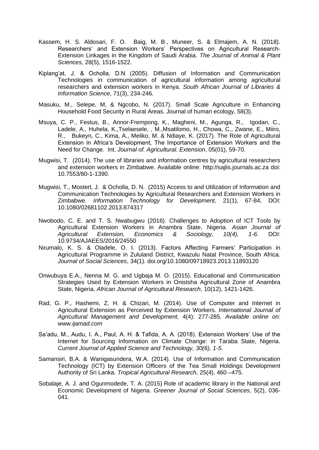- Kassem, H. S. Aldosari, F. O. Baig, M. B., Muneer, S. & Elmajem, A. N. (2018). Researchers' and Extension Workers' Perspectives on Agricultural Research-Extension Linkages in the Kingdom of Saudi Arabia. *The Journal of Animal & Plant Sciences,* 28(5), 1516-1522.
- Kiplang'at, J. & Ocholla, D.N (2005). Diffusion of Information and Communication Technologies in communication of agricultural information among agricultural researchers and extension workers in Kenya. *South African Journal of Libraries & Information Science*, 71(3), 234-246.
- Masuku, M., Selepe, M, & Ngcobo, N. (2017). Small Scale Agriculture in Enhancing Household Food Security in Rural Areas. Journal of human ecology, 58(3).
- Msuya, C. P., Festus, B., Annor-Frempong, K., Magheni, M., Agunga, R., Igodan, C., Ladele, A., Huhela, K.,Tselaesele, , M.,Msatilomo, H., Chowa, C., Zwane, E., Miiro, R., Bukeyn, C., Kima, A., Meliko, M. & Ndiaye, K. (2017). The Role of Agricultural Extension in Africa's Development, The Importance of Extension Workers and the Need for Change. Int. *Journal of. Agricultural. Extension*, 05(01), 59-70.
- Mugwisi, T. (2014). The use of libraries and information centres by agricultural researchers and extension workers in Zimbabwe. Available online: http://sajlis.journals.ac.za doi: 10.7553/80-1-1390.
- Mugwisi, T., Mostert, J. & Ocholla, D. N. (2015) Access to and Utilization of Information and Communication Technologies by Agricultural Researchers and Extension Workers in Zimbabwe. *Information Technology for Development,* 21(1), 67-84, DOI: 10.1080/02681102.2013.874317
- Nwobodo, C. E. and T. S. Nwabugwu (2016). Challenges to Adoption of ICT Tools by Agricultural Extension Workers in Anambra State, Nigeria. *Asian Journal of Agricultural Extension, Economics & Sociology, 10(4), 1-6.* DOI: 10.9734/AJAEES/2016/24550
- Nxumalo, K. S. & Oladele, O. I. (2013). Factors Affecting Farmers' Participation in Agricultural Programme in Zululand District, Kwazulu Natal Province, South Africa. *Journal of Social Sciences*, 34(1). [doi.org/10.1080/09718923.2013.11893120](https://doi.org/10.1080/09718923.2013.11893120)
- Onwubuya E.A., Nenna M. G. and Ugbaja M. O. (2015). Educational and Communication Strategies Used by Extension Workers in Onistsha Agricultural Zone of Anambra State, Nigeria. *African Journal of Agricultural Research*, 10(12), 1421-1426.
- Rad, G. P., Hashemi, Z. H. & Chizari, M. (2014). Use of Computer and Internet in Agricultural Extension as Perceived by Extension Workers. *International Journal of Agricultural Management and Development,* 4(4): 277-285. *Available online on: www.ijamad.com*
- Sa'adu, M., Audu, I. A., Paul, A. H. & Tafida, A. A. (2018). Extension Workers' Use of the Internet for Sourcing Information on Climate Change: in Taraba State, Nigeria. *Current Journal of Applied Science and Technology, 30(6), 1-5.*
- Samansiri, B.A. & Wanigasundera, W.A. (2014). Use of Information and Communication Technology (ICT) by Extension Officers of the Tea Small Holdings Development Authority of Sri Lanka. *Tropical Agricultural Research,* 25(4), 460 –475.
- Sobalaje, A. J. and Ogunmodede, T. A. (2015) Role of academic library in the National and Economic Development of Nigeria. *Greener Journal of Social Sciences*, 5(2), 036- 041.